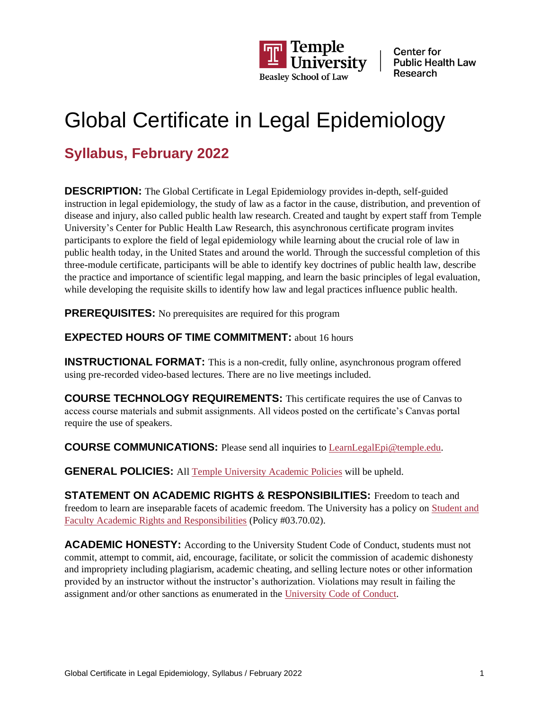

# Global Certificate in Legal Epidemiology

### **Syllabus, February 2022**

**DESCRIPTION:** The Global Certificate in Legal Epidemiology provides in-depth, self-guided instruction in legal epidemiology, the study of law as a factor in the cause, distribution, and prevention of disease and injury, also called public health law research. Created and taught by expert staff from Temple University's Center for Public Health Law Research, this asynchronous certificate program invites participants to explore the field of legal epidemiology while learning about the crucial role of law in public health today, in the United States and around the world. Through the successful completion of this three-module certificate, participants will be able to identify key doctrines of public health law, describe the practice and importance of scientific legal mapping, and learn the basic principles of legal evaluation, while developing the requisite skills to identify how law and legal practices influence public health.

**PREREQUISITES:** No prerequisites are required for this program

### **EXPECTED HOURS OF TIME COMMITMENT: about 16 hours**

**INSTRUCTIONAL FORMAT:** This is a non-credit, fully online, asynchronous program offered using pre-recorded video-based lectures. There are no live meetings included.

**COURSE TECHNOLOGY REQUIREMENTS:** This certificate requires the use of Canvas to access course materials and submit assignments. All videos posted on the certificate's Canvas portal require the use of speakers.

**COURSE COMMUNICATIONS:** Please send all inquiries t[o LearnLegalEpi@temple.edu.](mailto:LearnLegalEpi@temple.edu)

**GENERAL POLICIES:** All [Temple University Academic Policies](https://bulletin.temple.edu/undergraduate/academic-policies/) will be upheld.

**STATEMENT ON ACADEMIC RIGHTS & RESPONSIBILITIES:** Freedom to teach and freedom to learn are inseparable facets of academic freedom. The University has a policy on [Student and](https://bulletin.temple.edu/undergraduate/academic-policies/academic-rights-responsibilities/)  [Faculty Academic Rights and Responsibilities](https://bulletin.temple.edu/undergraduate/academic-policies/academic-rights-responsibilities/) (Policy #03.70.02).

**ACADEMIC HONESTY:** According to the University Student Code of Conduct, students must not commit, attempt to commit, aid, encourage, facilitate, or solicit the commission of academic dishonesty and impropriety including plagiarism, academic cheating, and selling lecture notes or other information provided by an instructor without the instructor's authorization. Violations may result in failing the assignment and/or other sanctions as enumerated in the [University Code of Conduct.](http://studentconduct.temple.edu/policies)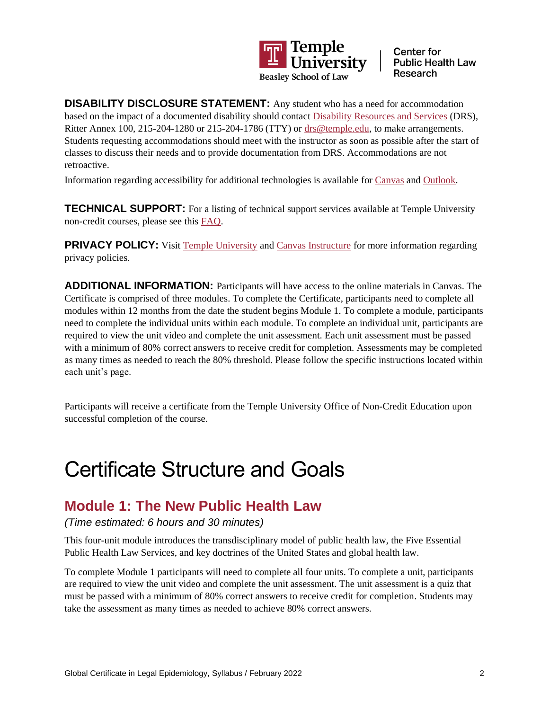

**DISABILITY DISCLOSURE STATEMENT:** Any student who has a need for accommodation based on the impact of a documented disability should contact [Disability Resources and Services](https://disabilityresources.temple.edu/) (DRS), Ritter Annex 100, 215-204-1280 or 215-204-1786 (TTY) or [drs@temple.edu,](mailto:drs@temple.edu) to make arrangements. Students requesting accommodations should meet with the instructor as soon as possible after the start of classes to discuss their needs and to provide documentation from DRS. Accommodations are not retroactive.

Information regarding accessibility for additional technologies is available for [Canvas](https://community.canvaslms.com/docs/DOC-2061) and [Outlook.](https://support.microsoft.com/en-us/office/accessibility-support-for-outlook-a8267cc4-aba3-4045-81d7-df11b016f2fe)

**TECHNICAL SUPPORT:** For a listing of technical support services available at Temple University non-credit courses, please see this [FAQ.](https://noncredit.temple.edu/contentManagement.do?method=load&code=PG0003)

**PRIVACY POLICY:** Visit [Temple University](https://www.temple.edu/privacy-statement) and [Canvas Instructure](https://www.instructure.com/policies/privacy) for more information regarding privacy policies.

**ADDITIONAL INFORMATION:** Participants will have access to the online materials in Canvas. The Certificate is comprised of three modules. To complete the Certificate, participants need to complete all modules within 12 months from the date the student begins Module 1. To complete a module, participants need to complete the individual units within each module. To complete an individual unit, participants are required to view the unit video and complete the unit assessment. Each unit assessment must be passed with a minimum of 80% correct answers to receive credit for completion. Assessments may be completed as many times as needed to reach the 80% threshold. Please follow the specific instructions located within each unit's page.

Participants will receive a certificate from the Temple University Office of Non-Credit Education upon successful completion of the course.

## Certificate Structure and Goals

### **Module 1: The New Public Health Law**

*(Time estimated: 6 hours and 30 minutes)*

This four-unit module introduces the transdisciplinary model of public health law, the Five Essential Public Health Law Services, and key doctrines of the United States and global health law.

To complete Module 1 participants will need to complete all four units. To complete a unit, participants are required to view the unit video and complete the unit assessment. The unit assessment is a quiz that must be passed with a minimum of 80% correct answers to receive credit for completion. Students may take the assessment as many times as needed to achieve 80% correct answers.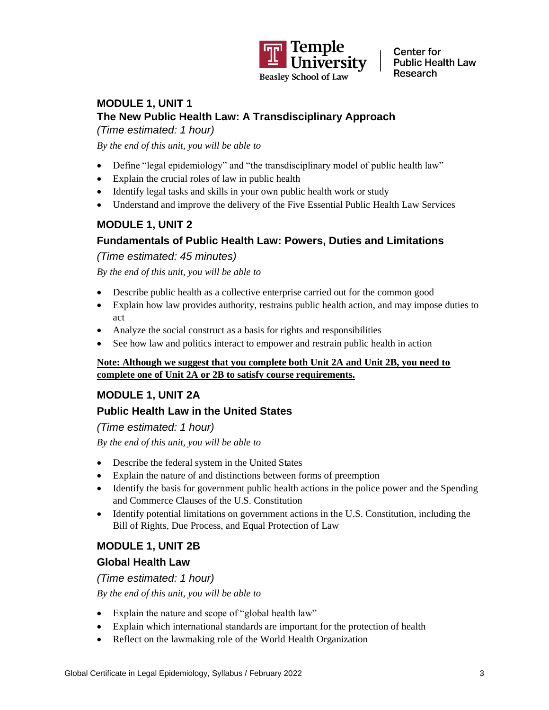

### **MODULE 1, UNIT 1 The New Public Health Law: A Transdisciplinary Approach**

*(Time estimated: 1 hour)*

*By the end of this unit, you will be able to*

- Define "legal epidemiology" and "the transdisciplinary model of public health law"
- Explain the crucial roles of law in public health
- Identify legal tasks and skills in your own public health work or study
- Understand and improve the delivery of the Five Essential Public Health Law Services

### **MODULE 1, UNIT 2**

### **Fundamentals of Public Health Law: Powers, Duties and Limitations**

*(Time estimated: 45 minutes)*

*By the end of this unit, you will be able to*

- Describe public health as a collective enterprise carried out for the common good
- Explain how law provides authority, restrains public health action, and may impose duties to act
- Analyze the social construct as a basis for rights and responsibilities
- See how law and politics interact to empower and restrain public health in action

#### **Note: Although we suggest that you complete both Unit 2A and Unit 2B, you need to complete one of Unit 2A or 2B to satisfy course requirements.**

### **MODULE 1, UNIT 2A**

### **Public Health Law in the United States**

*(Time estimated: 1 hour)*

*By the end of this unit, you will be able to*

- Describe the federal system in the United States
- Explain the nature of and distinctions between forms of preemption
- Identify the basis for government public health actions in the police power and the Spending and Commerce Clauses of the U.S. Constitution
- Identify potential limitations on government actions in the U.S. Constitution, including the Bill of Rights, Due Process, and Equal Protection of Law

### **MODULE 1, UNIT 2B**

#### **Global Health Law**

*(Time estimated: 1 hour)*

*By the end of this unit, you will be able to*

- Explain the nature and scope of "global health law"
- Explain which international standards are important for the protection of health
- Reflect on the lawmaking role of the World Health Organization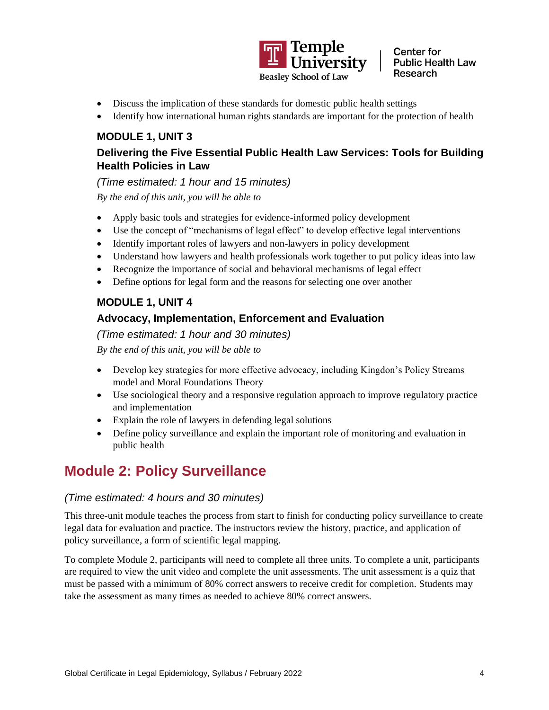

- Discuss the implication of these standards for domestic public health settings
- Identify how international human rights standards are important for the protection of health

#### **MODULE 1, UNIT 3**

### **Delivering the Five Essential Public Health Law Services: Tools for Building Health Policies in Law**

*(Time estimated: 1 hour and 15 minutes)*

*By the end of this unit, you will be able to*

- Apply basic tools and strategies for evidence-informed policy development
- Use the concept of "mechanisms of legal effect" to develop effective legal interventions
- Identify important roles of lawyers and non-lawyers in policy development
- Understand how lawyers and health professionals work together to put policy ideas into law
- Recognize the importance of social and behavioral mechanisms of legal effect
- Define options for legal form and the reasons for selecting one over another

### **MODULE 1, UNIT 4**

### **Advocacy, Implementation, Enforcement and Evaluation**

*(Time estimated: 1 hour and 30 minutes)*

*By the end of this unit, you will be able to*

- Develop key strategies for more effective advocacy, including Kingdon's Policy Streams model and Moral Foundations Theory
- Use sociological theory and a responsive regulation approach to improve regulatory practice and implementation
- Explain the role of lawyers in defending legal solutions
- Define policy surveillance and explain the important role of monitoring and evaluation in public health

### **Module 2: Policy Surveillance**

#### *(Time estimated: 4 hours and 30 minutes)*

This three-unit module teaches the process from start to finish for conducting policy surveillance to create legal data for evaluation and practice. The instructors review the history, practice, and application of policy surveillance, a form of scientific legal mapping.

To complete Module 2, participants will need to complete all three units. To complete a unit, participants are required to view the unit video and complete the unit assessments. The unit assessment is a quiz that must be passed with a minimum of 80% correct answers to receive credit for completion. Students may take the assessment as many times as needed to achieve 80% correct answers.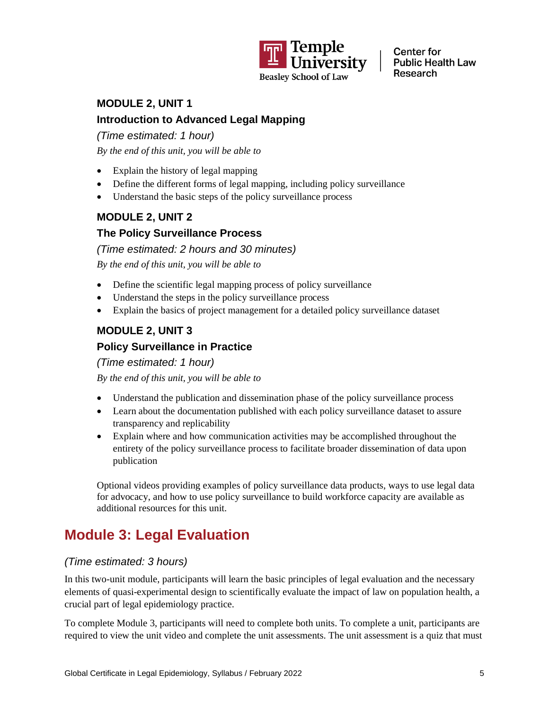

### **MODULE 2, UNIT 1 Introduction to Advanced Legal Mapping**

### *(Time estimated: 1 hour)*

*By the end of this unit, you will be able to*

- Explain the history of legal mapping
- Define the different forms of legal mapping, including policy surveillance
- Understand the basic steps of the policy surveillance process

### **MODULE 2, UNIT 2**

### **The Policy Surveillance Process**

*(Time estimated: 2 hours and 30 minutes)*

*By the end of this unit, you will be able to*

- Define the scientific legal mapping process of policy surveillance
- Understand the steps in the policy surveillance process
- Explain the basics of project management for a detailed policy surveillance dataset

### **MODULE 2, UNIT 3**

### **Policy Surveillance in Practice**

*(Time estimated: 1 hour)*

*By the end of this unit, you will be able to*

- Understand the publication and dissemination phase of the policy surveillance process
- Learn about the documentation published with each policy surveillance dataset to assure transparency and replicability
- Explain where and how communication activities may be accomplished throughout the entirety of the policy surveillance process to facilitate broader dissemination of data upon publication

Optional videos providing examples of policy surveillance data products, ways to use legal data for advocacy, and how to use policy surveillance to build workforce capacity are available as additional resources for this unit.

### **Module 3: Legal Evaluation**

### *(Time estimated: 3 hours)*

In this two-unit module, participants will learn the basic principles of legal evaluation and the necessary elements of quasi-experimental design to scientifically evaluate the impact of law on population health, a crucial part of legal epidemiology practice.

To complete Module 3, participants will need to complete both units. To complete a unit, participants are required to view the unit video and complete the unit assessments. The unit assessment is a quiz that must